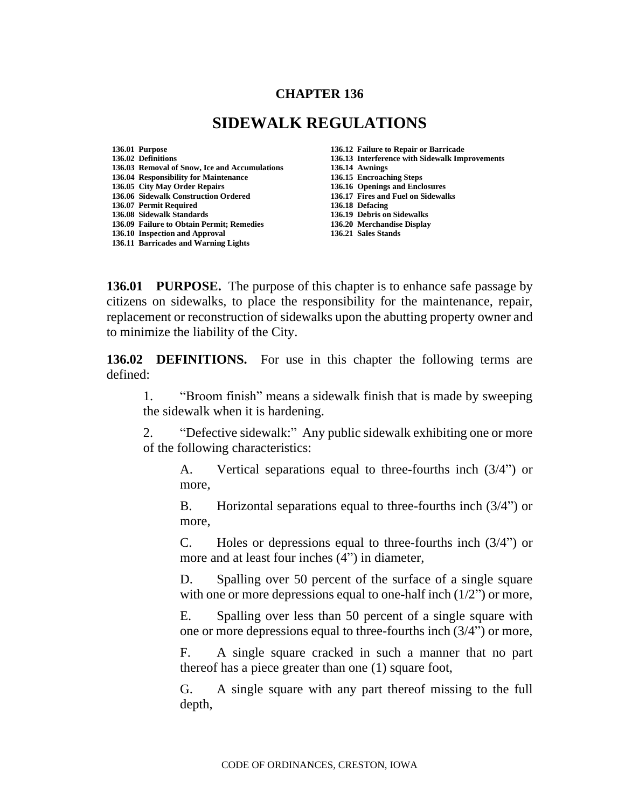## **CHAPTER 136**

## **SIDEWALK REGULATIONS**

**136.01 Purpose 136.12 Failure to Repair or Barricade 136.03 Removal of Snow, Ice and Accumulations 136.14 Awnings 136.04 Responsibility for Maintenance 136.15 Encroaching Steps 136.06 Sidewalk Construction Ordered 136.17 Fires and Fuel on Sidewalks 136.07 Permit Required 136.18 Defacing 136.08 Sidewalk Standards 136.19 Debris on Sidewalks 136.09 Failure to Obtain Permit; Remedies 136.10 Inspection and Approval 136.21 Sales Stands 136.11 Barricades and Warning Lights**

**136.02 Definitions 136.13 Interference with Sidewalk Improvements 136.05 City May Order Repairs 136.16 Openings and Enclosures** 

**136.01 PURPOSE.** The purpose of this chapter is to enhance safe passage by citizens on sidewalks, to place the responsibility for the maintenance, repair, replacement or reconstruction of sidewalks upon the abutting property owner and to minimize the liability of the City.

**136.02 DEFINITIONS.** For use in this chapter the following terms are defined:

1. "Broom finish" means a sidewalk finish that is made by sweeping the sidewalk when it is hardening.

2. "Defective sidewalk:" Any public sidewalk exhibiting one or more of the following characteristics:

A. Vertical separations equal to three-fourths inch (3/4") or more,

B. Horizontal separations equal to three-fourths inch (3/4") or more,

C. Holes or depressions equal to three-fourths inch (3/4") or more and at least four inches (4") in diameter,

D. Spalling over 50 percent of the surface of a single square with one or more depressions equal to one-half inch  $(1/2)$  or more,

E. Spalling over less than 50 percent of a single square with one or more depressions equal to three-fourths inch (3/4") or more,

F. A single square cracked in such a manner that no part thereof has a piece greater than one (1) square foot,

G. A single square with any part thereof missing to the full depth,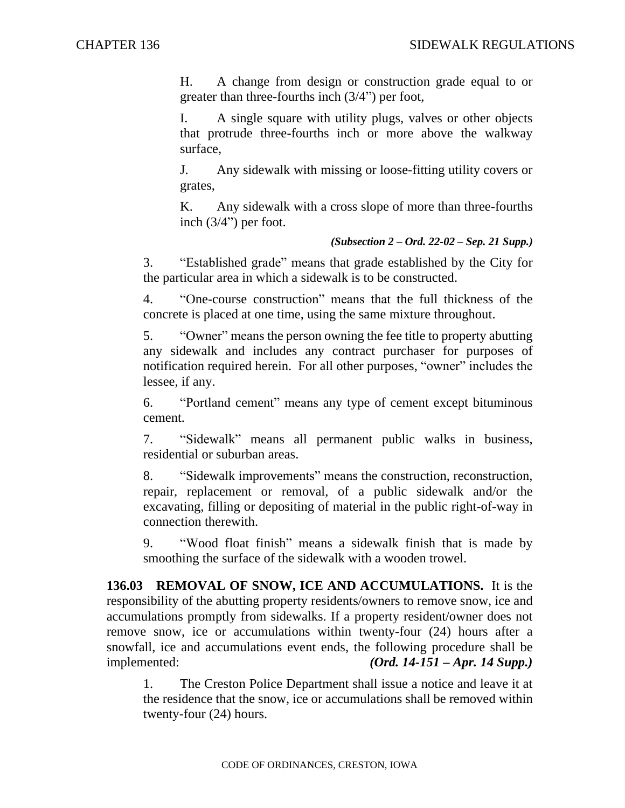H. A change from design or construction grade equal to or greater than three-fourths inch (3/4") per foot,

I. A single square with utility plugs, valves or other objects that protrude three-fourths inch or more above the walkway surface,

J. Any sidewalk with missing or loose-fitting utility covers or grates,

K. Any sidewalk with a cross slope of more than three-fourths inch (3/4") per foot.

## *(Subsection 2 – Ord. 22-02 – Sep. 21 Supp.)*

3. "Established grade" means that grade established by the City for the particular area in which a sidewalk is to be constructed.

4. "One-course construction" means that the full thickness of the concrete is placed at one time, using the same mixture throughout.

5. "Owner" means the person owning the fee title to property abutting any sidewalk and includes any contract purchaser for purposes of notification required herein. For all other purposes, "owner" includes the lessee, if any.

6. "Portland cement" means any type of cement except bituminous cement.

7. "Sidewalk" means all permanent public walks in business, residential or suburban areas.

8. "Sidewalk improvements" means the construction, reconstruction, repair, replacement or removal, of a public sidewalk and/or the excavating, filling or depositing of material in the public right-of-way in connection therewith.

9. "Wood float finish" means a sidewalk finish that is made by smoothing the surface of the sidewalk with a wooden trowel.

**136.03 REMOVAL OF SNOW, ICE AND ACCUMULATIONS.** It is the responsibility of the abutting property residents/owners to remove snow, ice and accumulations promptly from sidewalks. If a property resident/owner does not remove snow, ice or accumulations within twenty-four (24) hours after a snowfall, ice and accumulations event ends, the following procedure shall be implemented: *(Ord. 14-151 – Apr. 14 Supp.)*

1. The Creston Police Department shall issue a notice and leave it at the residence that the snow, ice or accumulations shall be removed within twenty-four (24) hours.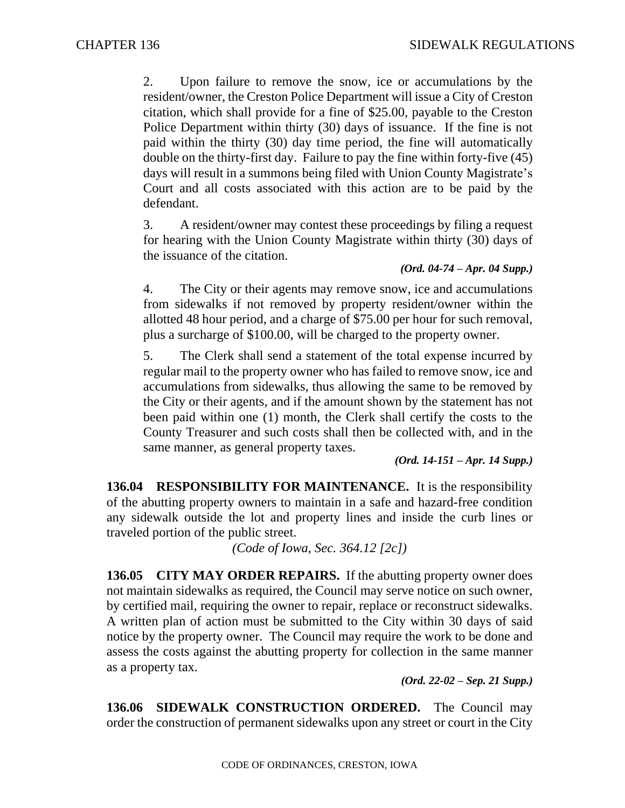2. Upon failure to remove the snow, ice or accumulations by the resident/owner, the Creston Police Department will issue a City of Creston citation, which shall provide for a fine of \$25.00, payable to the Creston Police Department within thirty (30) days of issuance. If the fine is not paid within the thirty (30) day time period, the fine will automatically double on the thirty-first day. Failure to pay the fine within forty-five (45) days will result in a summons being filed with Union County Magistrate's Court and all costs associated with this action are to be paid by the defendant.

3. A resident/owner may contest these proceedings by filing a request for hearing with the Union County Magistrate within thirty (30) days of the issuance of the citation.

## *(Ord. 04-74 – Apr. 04 Supp.)*

4. The City or their agents may remove snow, ice and accumulations from sidewalks if not removed by property resident/owner within the allotted 48 hour period, and a charge of \$75.00 per hour for such removal, plus a surcharge of \$100.00, will be charged to the property owner.

5. The Clerk shall send a statement of the total expense incurred by regular mail to the property owner who has failed to remove snow, ice and accumulations from sidewalks, thus allowing the same to be removed by the City or their agents, and if the amount shown by the statement has not been paid within one (1) month, the Clerk shall certify the costs to the County Treasurer and such costs shall then be collected with, and in the same manner, as general property taxes.

*(Ord. 14-151 – Apr. 14 Supp.)*

**136.04 RESPONSIBILITY FOR MAINTENANCE.** It is the responsibility of the abutting property owners to maintain in a safe and hazard-free condition any sidewalk outside the lot and property lines and inside the curb lines or traveled portion of the public street.

*(Code of Iowa, Sec. 364.12 [2c])* 

**136.05 CITY MAY ORDER REPAIRS.** If the abutting property owner does not maintain sidewalks as required, the Council may serve notice on such owner, by certified mail, requiring the owner to repair, replace or reconstruct sidewalks. A written plan of action must be submitted to the City within 30 days of said notice by the property owner. The Council may require the work to be done and assess the costs against the abutting property for collection in the same manner as a property tax.

*(Ord. 22-02 – Sep. 21 Supp.)*

**136.06 SIDEWALK CONSTRUCTION ORDERED.** The Council may order the construction of permanent sidewalks upon any street or court in the City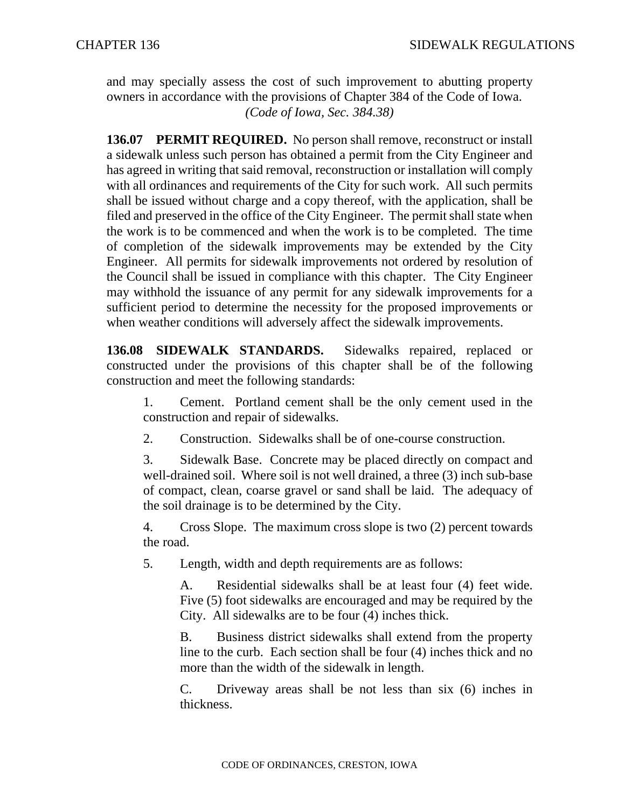and may specially assess the cost of such improvement to abutting property owners in accordance with the provisions of Chapter 384 of the Code of Iowa. *(Code of Iowa, Sec. 384.38)*

**136.07 PERMIT REQUIRED.** No person shall remove, reconstruct or install a sidewalk unless such person has obtained a permit from the City Engineer and has agreed in writing that said removal, reconstruction or installation will comply with all ordinances and requirements of the City for such work. All such permits shall be issued without charge and a copy thereof, with the application, shall be filed and preserved in the office of the City Engineer. The permit shall state when the work is to be commenced and when the work is to be completed. The time of completion of the sidewalk improvements may be extended by the City Engineer. All permits for sidewalk improvements not ordered by resolution of the Council shall be issued in compliance with this chapter. The City Engineer may withhold the issuance of any permit for any sidewalk improvements for a sufficient period to determine the necessity for the proposed improvements or when weather conditions will adversely affect the sidewalk improvements.

**136.08 SIDEWALK STANDARDS.** Sidewalks repaired, replaced or constructed under the provisions of this chapter shall be of the following construction and meet the following standards:

1. Cement. Portland cement shall be the only cement used in the construction and repair of sidewalks.

2. Construction. Sidewalks shall be of one-course construction.

3. Sidewalk Base. Concrete may be placed directly on compact and well-drained soil. Where soil is not well drained, a three (3) inch sub-base of compact, clean, coarse gravel or sand shall be laid. The adequacy of the soil drainage is to be determined by the City.

4. Cross Slope. The maximum cross slope is two (2) percent towards the road.

5. Length, width and depth requirements are as follows:

A. Residential sidewalks shall be at least four (4) feet wide. Five (5) foot sidewalks are encouraged and may be required by the City. All sidewalks are to be four (4) inches thick.

B. Business district sidewalks shall extend from the property line to the curb. Each section shall be four (4) inches thick and no more than the width of the sidewalk in length.

C. Driveway areas shall be not less than six (6) inches in thickness.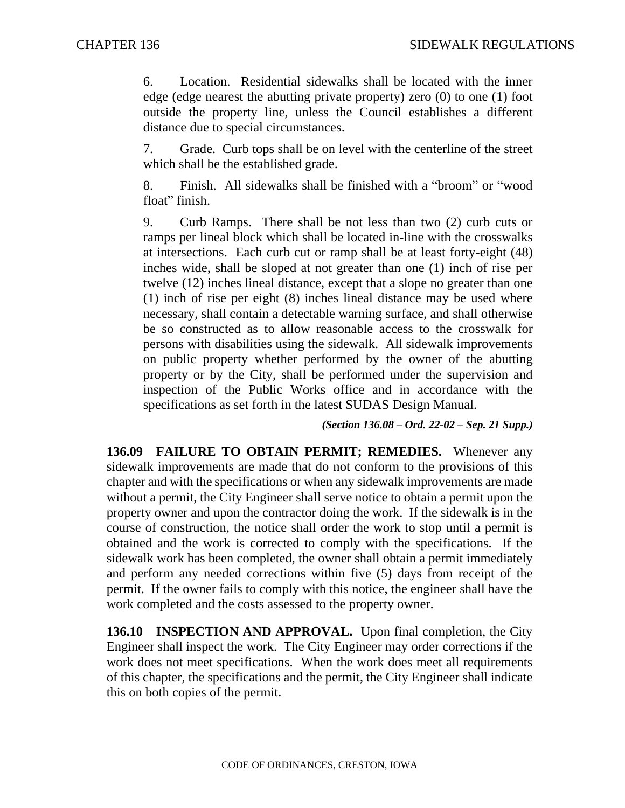6. Location. Residential sidewalks shall be located with the inner edge (edge nearest the abutting private property) zero (0) to one (1) foot outside the property line, unless the Council establishes a different distance due to special circumstances.

7. Grade. Curb tops shall be on level with the centerline of the street which shall be the established grade.

8. Finish. All sidewalks shall be finished with a "broom" or "wood float" finish.

9. Curb Ramps. There shall be not less than two (2) curb cuts or ramps per lineal block which shall be located in-line with the crosswalks at intersections. Each curb cut or ramp shall be at least forty-eight (48) inches wide, shall be sloped at not greater than one (1) inch of rise per twelve (12) inches lineal distance, except that a slope no greater than one (1) inch of rise per eight (8) inches lineal distance may be used where necessary, shall contain a detectable warning surface, and shall otherwise be so constructed as to allow reasonable access to the crosswalk for persons with disabilities using the sidewalk. All sidewalk improvements on public property whether performed by the owner of the abutting property or by the City, shall be performed under the supervision and inspection of the Public Works office and in accordance with the specifications as set forth in the latest SUDAS Design Manual.

*(Section 136.08 – Ord. 22-02 – Sep. 21 Supp.)*

**136.09 FAILURE TO OBTAIN PERMIT; REMEDIES.** Whenever any sidewalk improvements are made that do not conform to the provisions of this chapter and with the specifications or when any sidewalk improvements are made without a permit, the City Engineer shall serve notice to obtain a permit upon the property owner and upon the contractor doing the work. If the sidewalk is in the course of construction, the notice shall order the work to stop until a permit is obtained and the work is corrected to comply with the specifications. If the sidewalk work has been completed, the owner shall obtain a permit immediately and perform any needed corrections within five (5) days from receipt of the permit. If the owner fails to comply with this notice, the engineer shall have the work completed and the costs assessed to the property owner.

**136.10 INSPECTION AND APPROVAL.** Upon final completion, the City Engineer shall inspect the work. The City Engineer may order corrections if the work does not meet specifications. When the work does meet all requirements of this chapter, the specifications and the permit, the City Engineer shall indicate this on both copies of the permit.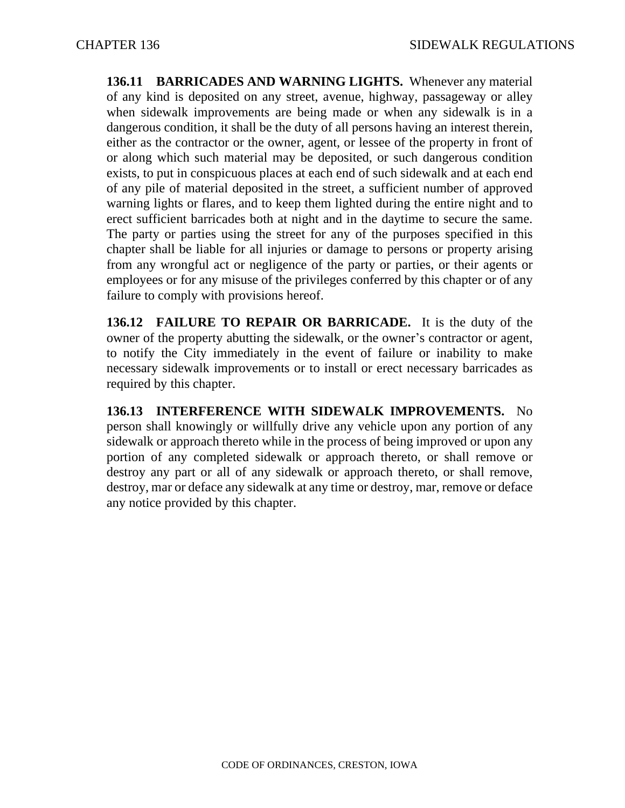**136.11 BARRICADES AND WARNING LIGHTS.** Whenever any material of any kind is deposited on any street, avenue, highway, passageway or alley when sidewalk improvements are being made or when any sidewalk is in a dangerous condition, it shall be the duty of all persons having an interest therein, either as the contractor or the owner, agent, or lessee of the property in front of or along which such material may be deposited, or such dangerous condition exists, to put in conspicuous places at each end of such sidewalk and at each end of any pile of material deposited in the street, a sufficient number of approved warning lights or flares, and to keep them lighted during the entire night and to erect sufficient barricades both at night and in the daytime to secure the same. The party or parties using the street for any of the purposes specified in this chapter shall be liable for all injuries or damage to persons or property arising from any wrongful act or negligence of the party or parties, or their agents or employees or for any misuse of the privileges conferred by this chapter or of any failure to comply with provisions hereof.

**136.12 FAILURE TO REPAIR OR BARRICADE.** It is the duty of the owner of the property abutting the sidewalk, or the owner's contractor or agent, to notify the City immediately in the event of failure or inability to make necessary sidewalk improvements or to install or erect necessary barricades as required by this chapter.

**136.13 INTERFERENCE WITH SIDEWALK IMPROVEMENTS.** No person shall knowingly or willfully drive any vehicle upon any portion of any sidewalk or approach thereto while in the process of being improved or upon any portion of any completed sidewalk or approach thereto, or shall remove or destroy any part or all of any sidewalk or approach thereto, or shall remove, destroy, mar or deface any sidewalk at any time or destroy, mar, remove or deface any notice provided by this chapter.